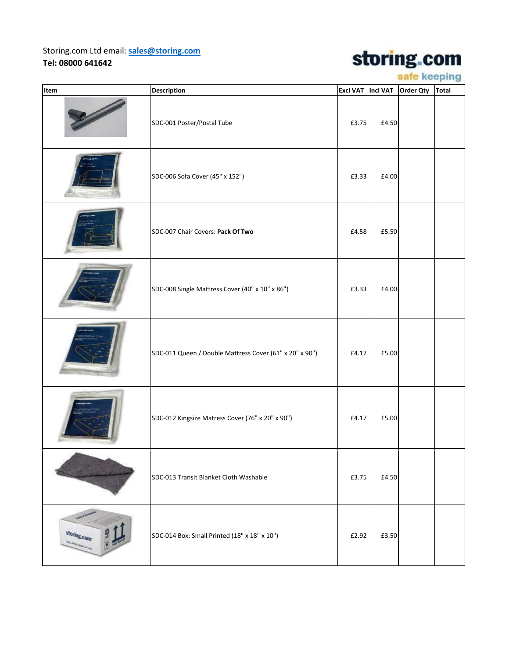## Storing.com Ltd email: **[sales@storing.com](mailto:sales@storing.com) Tel: 08000 641642**

## storing.com

safe keeping

| Item        | Description                                             | Excl VAT   Incl VAT |       | Order Qty | <b>Total</b> |
|-------------|---------------------------------------------------------|---------------------|-------|-----------|--------------|
|             | SDC-001 Poster/Postal Tube                              | £3.75               | £4.50 |           |              |
|             | SDC-006 Sofa Cover (45" x 152")                         | £3.33               | £4.00 |           |              |
|             | SDC-007 Chair Covers: Pack Of Two                       | £4.58               | £5.50 |           |              |
|             | SDC-008 Single Mattress Cover (40" x 10" x 86")         | £3.33               | £4.00 |           |              |
|             | SDC-011 Queen / Double Mattress Cover (61" x 20" x 90") | £4.17               | £5.00 |           |              |
|             | SDC-012 Kingsize Matress Cover (76" x 20" x 90")        | £4.17               | £5.00 |           |              |
|             | SDC-013 Transit Blanket Cloth Washable                  | £3.75               | £4.50 |           |              |
| storing.com | SDC-014 Box: Small Printed (18" x 18" x 10")            | £2.92               | £3.50 |           |              |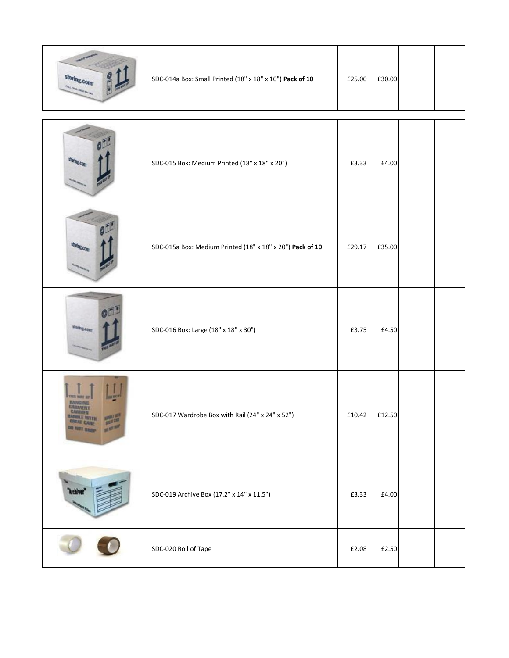|                            | SDC-014a Box: Small Printed (18" x 18" x 10") Pack of 10  | £25.00 | £30.00 |  |
|----------------------------|-----------------------------------------------------------|--------|--------|--|
|                            | SDC-015 Box: Medium Printed (18" x 18" x 20")             | £3.33  | £4.00  |  |
|                            | SDC-015a Box: Medium Printed (18" x 18" x 20") Pack of 10 | £29.17 | £35.00 |  |
| darku.com                  | SDC-016 Box: Large (18" x 18" x 30")                      | £3.75  | £4.50  |  |
| <b>CHEAT</b><br>DO NOT DRE | SDC-017 Wardrobe Box with Rail (24" x 24" x 52")          | £10.42 | £12.50 |  |
|                            | SDC-019 Archive Box (17.2" x 14" x 11.5")                 | £3.33  | £4.00  |  |
|                            | SDC-020 Roll of Tape                                      | £2.08  | £2.50  |  |